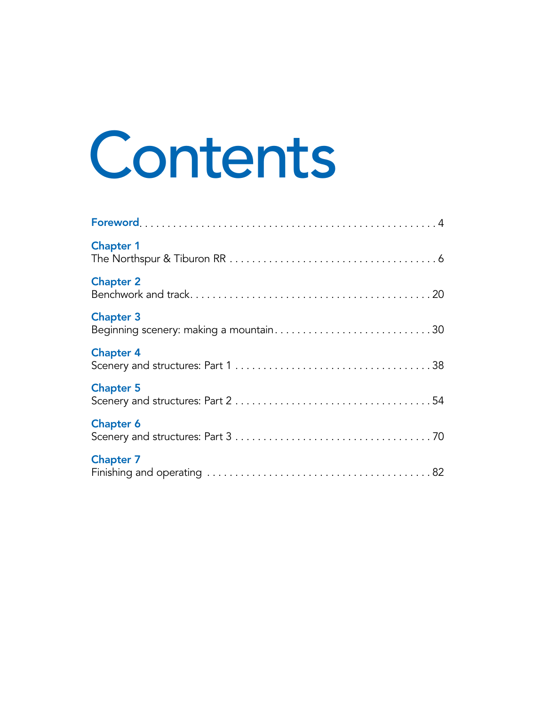## Contents

| <b>Chapter 1</b>                                           |
|------------------------------------------------------------|
| <b>Chapter 2</b>                                           |
| <b>Chapter 3</b><br>Beginning scenery: making a mountain30 |
| <b>Chapter 4</b>                                           |
| <b>Chapter 5</b>                                           |
| <b>Chapter 6</b>                                           |
| <b>Chapter 7</b>                                           |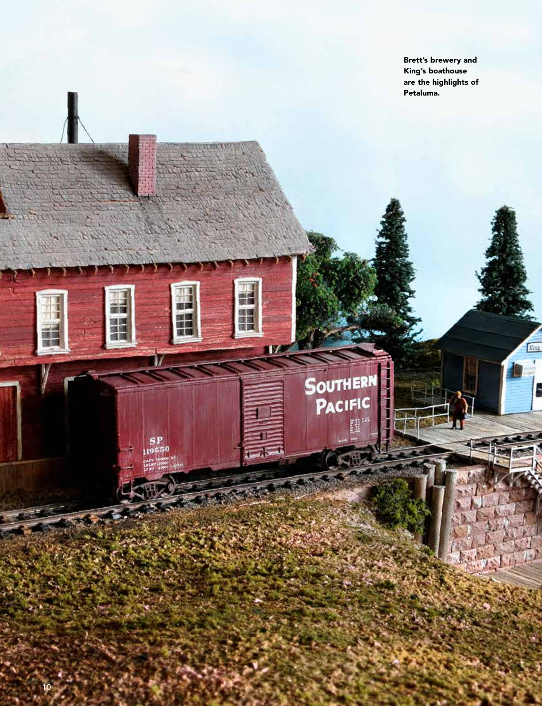Brett's brewery and King's boathouse are the highlights of Petaluma.

**Rist** 

龍山

17

SOUTHERN<br>PACIFIC

墨潭

面

И

SP<br>19550

ãΰ 一番 風景

建日 編集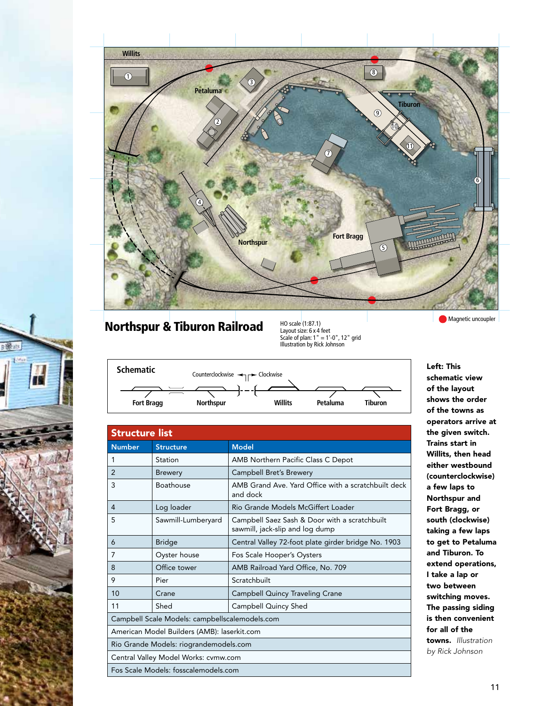

## **Northspur & Tiburon Railroad** Ho scale (1:87.1)

т

Layout size: 6 x 4 feet Scale of plan: 1" = 1'-0", 12" grid Illustration by Rick Johnson





| <b>Structure list</b>                          |                    |                                                                                  |  |
|------------------------------------------------|--------------------|----------------------------------------------------------------------------------|--|
| <b>Number</b>                                  | <b>Structure</b>   | <b>Model</b>                                                                     |  |
| 1                                              | Station            | AMB Northern Pacific Class C Depot                                               |  |
| $\overline{2}$                                 | <b>Brewery</b>     | Campbell Bret's Brewery                                                          |  |
| 3                                              | Boathouse          | AMB Grand Ave. Yard Office with a scratchbuilt deck<br>and dock                  |  |
| 4                                              | Log loader         | Rio Grande Models McGiffert Loader                                               |  |
| 5                                              | Sawmill-Lumberyard | Campbell Saez Sash & Door with a scratchbuilt<br>sawmill, jack-slip and log dump |  |
| 6                                              | <b>Bridge</b>      | Central Valley 72-foot plate girder bridge No. 1903                              |  |
| 7                                              | Oyster house       | Fos Scale Hooper's Oysters                                                       |  |
| 8                                              | Office tower       | AMB Railroad Yard Office, No. 709                                                |  |
| 9                                              | Pier               | Scratchbuilt                                                                     |  |
| 10                                             | Crane              | <b>Campbell Quincy Traveling Crane</b>                                           |  |
| 11                                             | Shed               | Campbell Quincy Shed                                                             |  |
| Campbell Scale Models: campbellscalemodels.com |                    |                                                                                  |  |
| American Model Builders (AMB): laserkit.com    |                    |                                                                                  |  |
| Rio Grande Models: riograndemodels.com         |                    |                                                                                  |  |
| Central Valley Model Works: cvmw.com           |                    |                                                                                  |  |
| Fos Scale Models: fosscalemodels.com           |                    |                                                                                  |  |

Left: This schematic view of the layout shows the order of the towns as operators arrive at the given switch. Trains start in Willits, then head either westbound (counterclockwise) a few laps to Northspur and Fort Bragg, or south (clockwise) taking a few laps to get to Petaluma and Tiburon. To extend operations, I take a lap or two between switching moves. The passing siding is then convenient for all of the towns. *Illustration by Rick Johnson*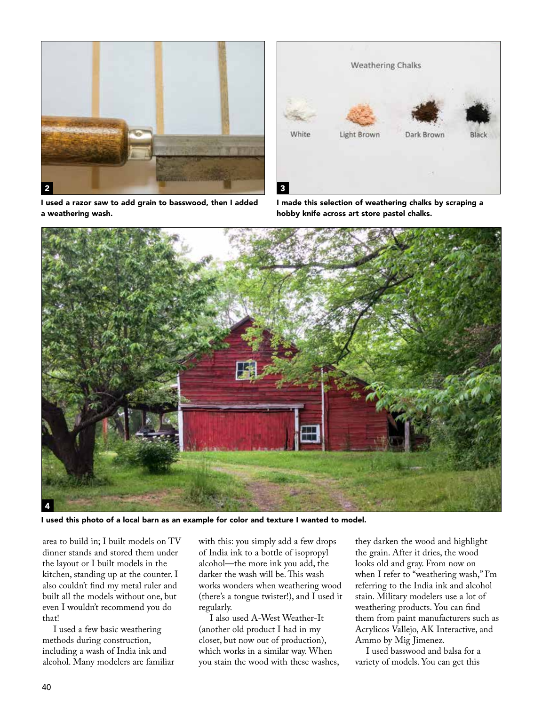



I used a razor saw to add grain to basswood, then I added a weathering wash.

I made this selection of weathering chalks by scraping a hobby knife across art store pastel chalks.



I used this photo of a local barn as an example for color and texture I wanted to model.

area to build in; I built models on TV dinner stands and stored them under the layout or I built models in the kitchen, standing up at the counter. I also couldn't find my metal ruler and built all the models without one, but even I wouldn't recommend you do that!

I used a few basic weathering methods during construction, including a wash of India ink and alcohol. Many modelers are familiar with this: you simply add a few drops of India ink to a bottle of isopropyl alcohol—the more ink you add, the darker the wash will be. This wash works wonders when weathering wood (there's a tongue twister!), and I used it regularly.

I also used A-West Weather-It (another old product I had in my closet, but now out of production), which works in a similar way. When you stain the wood with these washes,

they darken the wood and highlight the grain. After it dries, the wood looks old and gray. From now on when I refer to "weathering wash," I'm referring to the India ink and alcohol stain. Military modelers use a lot of weathering products. You can find them from paint manufacturers such as Acrylicos Vallejo, AK Interactive, and Ammo by Mig Jimenez.

I used basswood and balsa for a variety of models. You can get this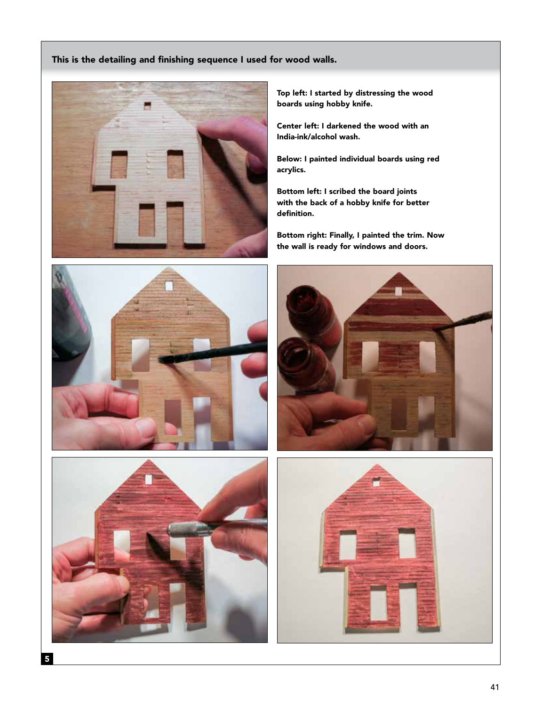## This is the detailing and finishing sequence I used for wood walls.



Top left: I started by distressing the wood boards using hobby knife.

Center left: I darkened the wood with an India-ink/alcohol wash.

Below: I painted individual boards using red acrylics.

Bottom left: I scribed the board joints with the back of a hobby knife for better definition.

Bottom right: Finally, I painted the trim. Now the wall is ready for windows and doors.







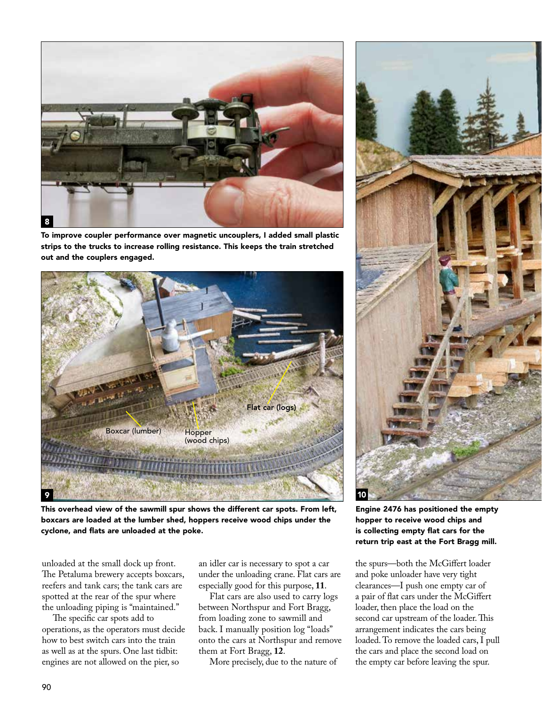

To improve coupler performance over magnetic uncouplers, I added small plastic strips to the trucks to increase rolling resistance. This keeps the train stretched out and the couplers engaged.



This overhead view of the sawmill spur shows the different car spots. From left, boxcars are loaded at the lumber shed, hoppers receive wood chips under the cyclone, and flats are unloaded at the poke.

unloaded at the small dock up front. The Petaluma brewery accepts boxcars, reefers and tank cars; the tank cars are spotted at the rear of the spur where the unloading piping is "maintained."

The specific car spots add to operations, as the operators must decide how to best switch cars into the train as well as at the spurs. One last tidbit: engines are not allowed on the pier, so

an idler car is necessary to spot a car under the unloading crane. Flat cars are especially good for this purpose, **11**.

Flat cars are also used to carry logs between Northspur and Fort Bragg, from loading zone to sawmill and back. I manually position log "loads" onto the cars at Northspur and remove them at Fort Bragg, **12**.

More precisely, due to the nature of



Engine 2476 has positioned the empty hopper to receive wood chips and is collecting empty flat cars for the return trip east at the Fort Bragg mill.

the spurs—both the McGiffert loader and poke unloader have very tight clearances—I push one empty car of a pair of flat cars under the McGiffert loader, then place the load on the second car upstream of the loader. This arrangement indicates the cars being loaded. To remove the loaded cars, I pull the cars and place the second load on the empty car before leaving the spur.